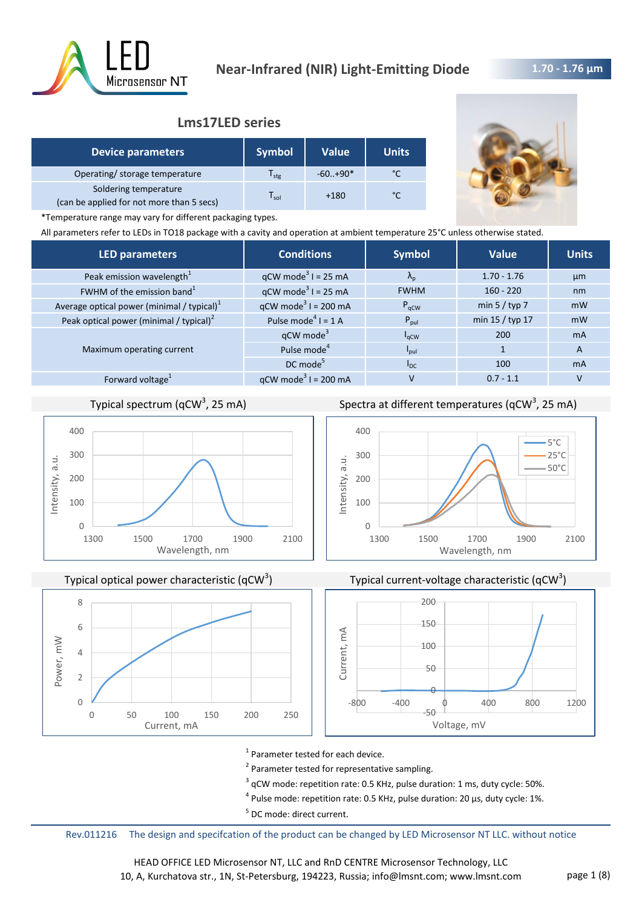

# **Lms17LED series**

| <b>Device parameters</b>                                           | <b>Symbol</b>    | <b>Value</b> | <b>Units</b>  |
|--------------------------------------------------------------------|------------------|--------------|---------------|
| Operating/ storage temperature                                     | l <sub>stg</sub> | $-60.+90*$   | $\sim$        |
| Soldering temperature<br>(can be applied for not more than 5 secs) | sol              | $+180$       | $\mathcal{C}$ |



\*Temperature range may vary for different packaging types.

All parameters refer to LEDs in TO18 package with a cavity and operation at ambient temperature 25°C unless otherwise stated.

| <b>LED parameters</b>                         | <b>Conditions</b>                      | <b>Symbol</b>     | <b>Value</b>    | <b>Units</b>   |
|-----------------------------------------------|----------------------------------------|-------------------|-----------------|----------------|
| Peak emission wavelength <sup>1</sup>         | $qCW \text{ mode}^3 I = 25 \text{ mA}$ | $\Lambda_{\rm p}$ | $1.70 - 1.76$   | µm             |
| FWHM of the emission band <sup>1</sup>        | $qCW \text{ mode}^3$ I = 25 mA         | <b>FWHM</b>       | $160 - 220$     | nm             |
| Average optical power (minimal / typical) $1$ | $qCW \text{ mode}^3$ I = 200 mA        | $P_{\text{aCW}}$  | min $5 /$ typ 7 | mW             |
| Peak optical power (minimal / typical) $2$    | Pulse mode <sup>4</sup> $I = 1$ A      | $P_{\text{pul}}$  | min 15 / typ 17 | mW             |
|                                               | $qCW$ mode <sup>3</sup>                | $I_{qCW}$         | 200             | m <sub>A</sub> |
| Maximum operating current                     | Pulse mode <sup>4</sup>                | <b>I</b> pul      |                 | $\overline{A}$ |
|                                               | DC mode <sup>5</sup>                   | $I_{DC}$          | 100             | m <sub>A</sub> |
| Forward voltage <sup>1</sup>                  | $qCW \text{ mode}^3$ I = 200 mA        | v                 | $0.7 - 1.1$     |                |
|                                               |                                        |                   |                 |                |

# Typical spectrum (qCW<sup>3</sup>, 25 mA)



Typical optical power characteristic (qCW<sup>3</sup>)



Spectra at different temperatures (qCW<sup>3</sup>, 25 mA)





<sup>1</sup> Parameter tested for each device.

<sup>2</sup> Parameter tested for representative sampling.

 $3$  qCW mode: repetition rate: 0.5 KHz, pulse duration: 1 ms, duty cycle: 50%.

 $^4$  Pulse mode: repetition rate: 0.5 KHz, pulse duration: 20 µs, duty cycle: 1%.

<sup>5</sup> DC mode: direct current.

Rev.011216 The design and specifcation of the product can be changed by LED Microsensor NT LLC. without notice

HEAD OFFICE LED Microsensor NT, LLC and RnD CENTRE Microsensor Technology, LLC 10, A, Kurchatova str., 1N, St-Petersburg, 194223, Russia; info@lmsnt.com; www.lmsnt.com page 1 (8)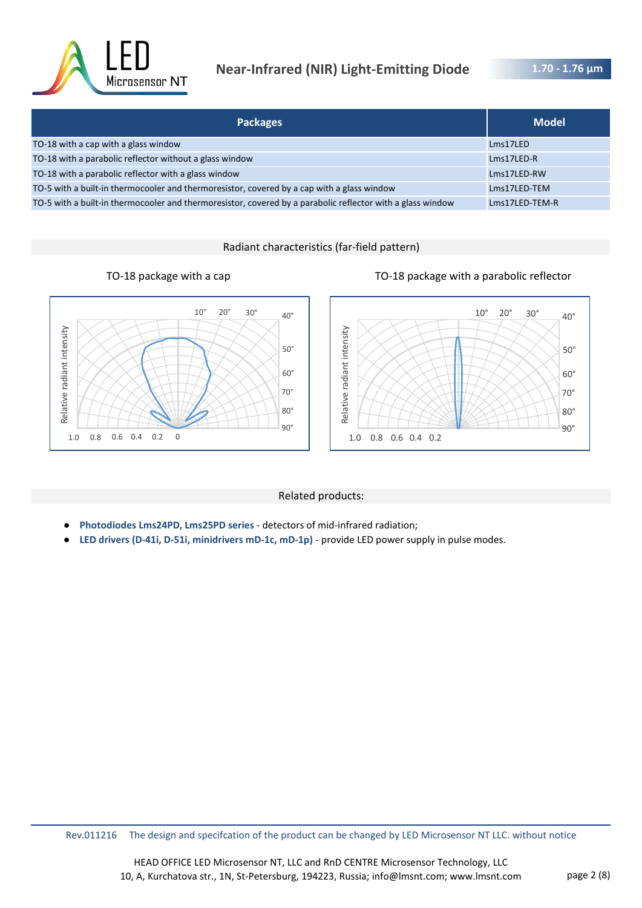

# **Near-Infrared (NIR) Light-Emitting Diode**

**1.70 - 1.76 μm** 

| <b>Packages</b>                                                                                            | <b>Model</b>   |
|------------------------------------------------------------------------------------------------------------|----------------|
| TO-18 with a cap with a glass window                                                                       | Lms17LED       |
| TO-18 with a parabolic reflector without a glass window                                                    | Lms17LED-R     |
| TO-18 with a parabolic reflector with a glass window                                                       | Lms17LED-RW    |
| TO-5 with a built-in thermocooler and thermoresistor, covered by a cap with a glass window                 | Lms17LED-TEM   |
| TO-5 with a built-in thermocooler and thermoresistor, covered by a parabolic reflector with a glass window | Lms17LED-TEM-R |

Radiant characteristics (far-field pattern)





### Related products:

- **Photodiodes Lms24PD, Lms25PD series**  detectors of mid-infrared radiation;
- LED drivers (D-41i, D-51i, minidrivers mD-1c, mD-1p) provide LED power supply in pulse modes.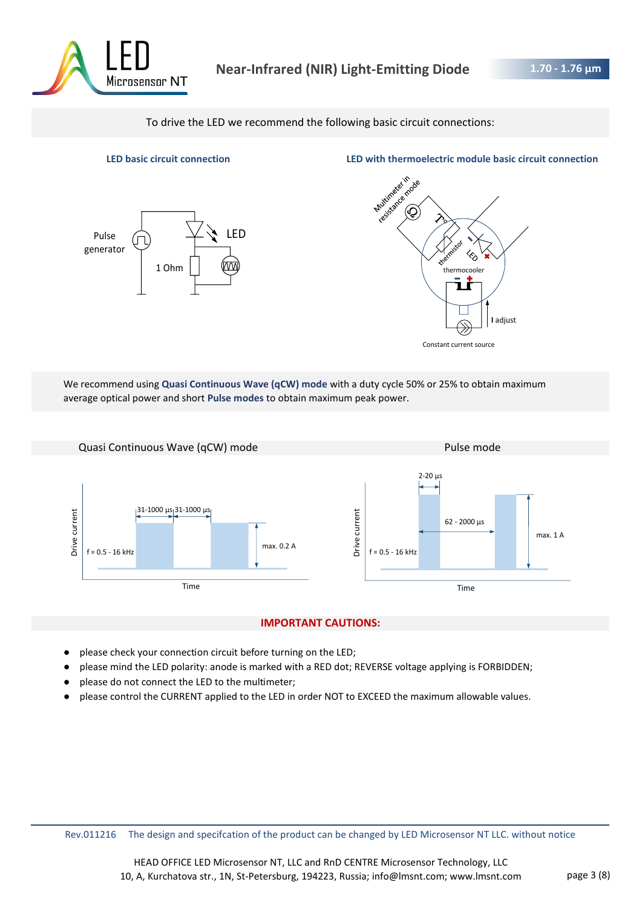

To drive the LED we recommend the following basic circuit connections:



**LED basic circuit connection LED with thermoelectric module basic circuit connection**



We recommend using **Quasi Continuous Wave (qCW) mode** with a duty cycle 50% or 25% to obtain maximum average optical power and short **Pulse modes** to obtain maximum peak power.



### **IMPORTANT CAUTIONS:**

- please check your connection circuit before turning on the LED;
- please mind the LED polarity: anode is marked with a RED dot; REVERSE voltage applying is FORBIDDEN;
- please do not connect the LED to the multimeter;
- please control the CURRENT applied to the LED in order NOT to EXCEED the maximum allowable values.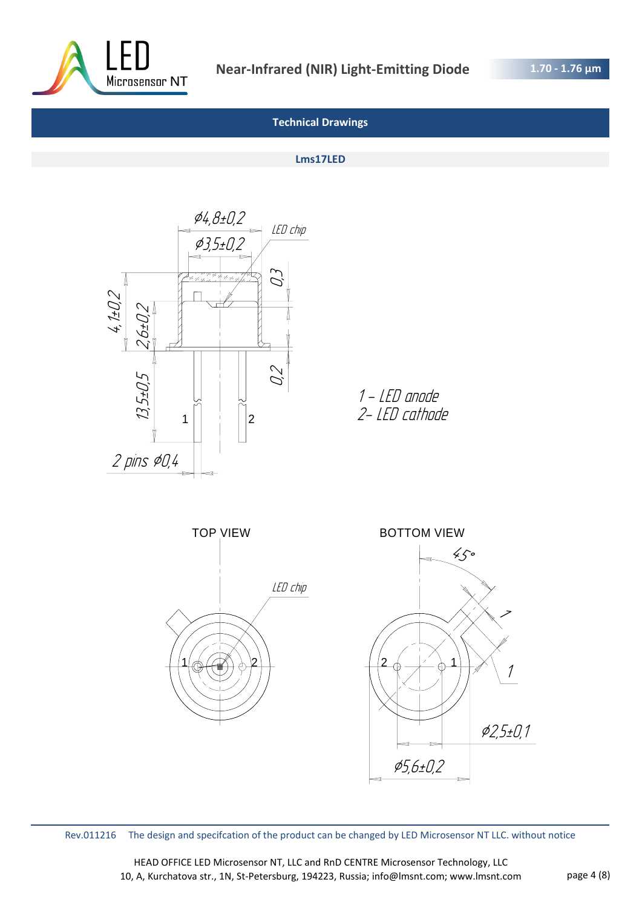

# **Technical Drawings**

#### **Lms17LED**



1 - LED anode 2- LED cathode



Rev.011216 The design and specifcation of the product can be changed by LED Microsensor NT LLC. without notice

HEAD OFFICE LED Microsensor NT, LLC and RnD CENTRE Microsensor Technology, LLC 10, A, Kurchatova str., 1N, St-Petersburg, 194223, Russia; info@lmsnt.com; www.lmsnt.com page 4 (8)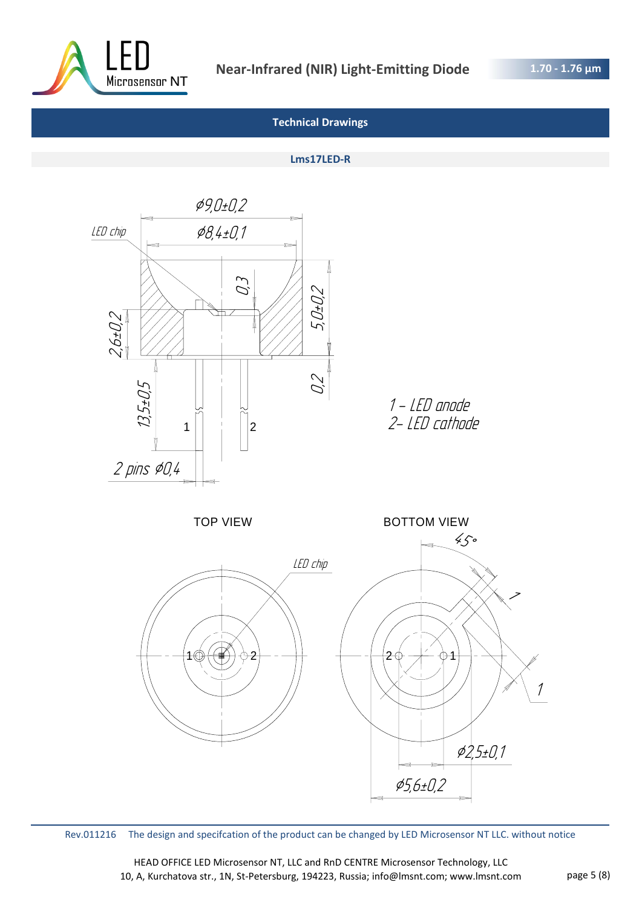

# **Technical Drawings**

#### **Lms17LED-R**



Rev.011216 The design and specifcation of the product can be changed by LED Microsensor NT LLC. without notice

HEAD OFFICE LED Microsensor NT, LLC and RnD CENTRE Microsensor Technology, LLC 10, A, Kurchatova str., 1N, St-Petersburg, 194223, Russia; info@lmsnt.com; www.lmsnt.com page 5 (8)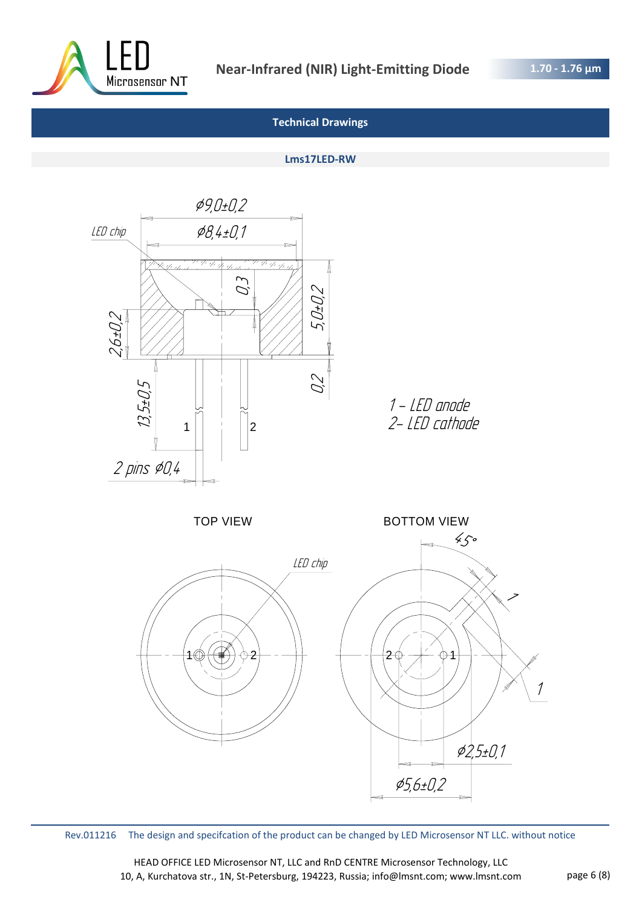

# **Technical Drawings**

### **Lms17LED-RW**



Rev.011216 The design and specifcation of the product can be changed by LED Microsensor NT LLC. without notice

HEAD OFFICE LED Microsensor NT, LLC and RnD CENTRE Microsensor Technology, LLC 10, A, Kurchatova str., 1N, St-Petersburg, 194223, Russia; info@lmsnt.com; www.lmsnt.com page 6 (8)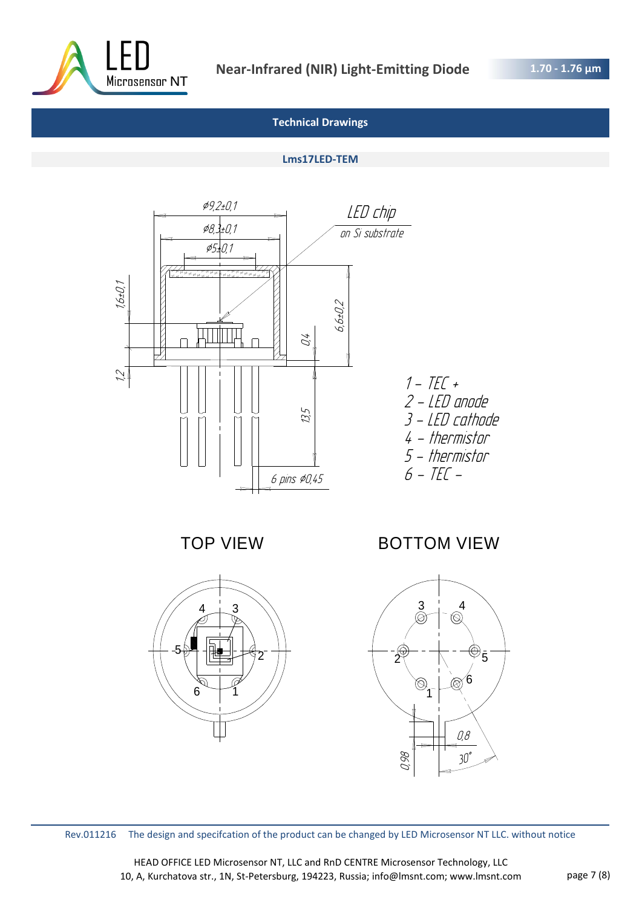

# **Technical Drawings**

### **Lms17LED-TEM**



TOP VIEW



BOTTOM VIEW



Rev.011216 The design and specifcation of the product can be changed by LED Microsensor NT LLC. without notice

HEAD OFFICE LED Microsensor NT, LLC and RnD CENTRE Microsensor Technology, LLC 10, A, Kurchatova str., 1N, St-Petersburg, 194223, Russia; info@lmsnt.com; www.lmsnt.com page 7 (8)